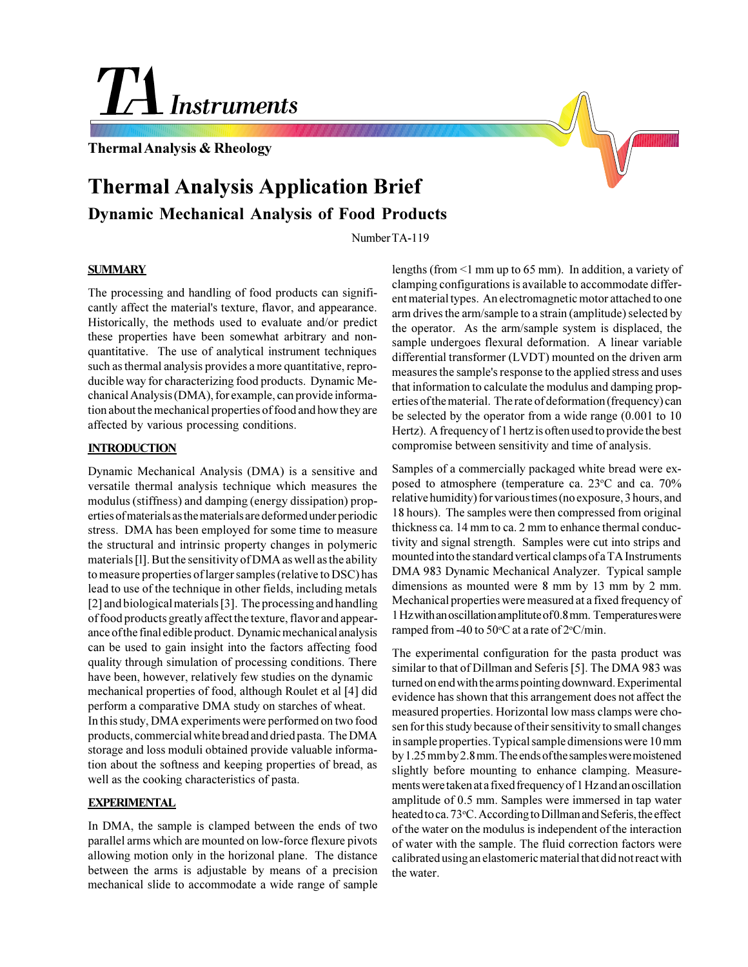# **TH** Instruments

**Thermal Analysis & Rheology**

# **Thermal Analysis Application Brief Dynamic Mechanical Analysis of Food Products**

Number TA-119

# **SUMMARY**

The processing and handling of food products can significantly affect the material's texture, flavor, and appearance. Historically, the methods used to evaluate and/or predict these properties have been somewhat arbitrary and nonquantitative. The use of analytical instrument techniques such as thermal analysis provides a more quantitative, reproducible way for characterizing food products. Dynamic Mechanical Analysis (DMA), for example, can provide information about the mechanical properties of food and how they are affected by various processing conditions.

# **INTRODUCTION**

Dynamic Mechanical Analysis (DMA) is a sensitive and versatile thermal analysis technique which measures the modulus (stiffness) and damping (energy dissipation) properties of materials as the materials are deformed under periodic stress. DMA has been employed for some time to measure the structural and intrinsic property changes in polymeric materials [l]. But the sensitivity of DMA as well as the ability to measure properties of larger samples (relative to DSC) has lead to use of the technique in other fields, including metals [2] and biological materials [3]. The processing and handling of food products greatly affect the texture, flavor and appearance of the final edible product. Dynamic mechanical analysis can be used to gain insight into the factors affecting food quality through simulation of processing conditions. There have been, however, relatively few studies on the dynamic mechanical properties of food, although Roulet et al [4] did perform a comparative DMA study on starches of wheat. In this study, DMA experiments were performed on two food products, commercial white bread and dried pasta. The DMA storage and loss moduli obtained provide valuable information about the softness and keeping properties of bread, as well as the cooking characteristics of pasta.

## **EXPERIMENTAL**

In DMA, the sample is clamped between the ends of two parallel arms which are mounted on low-force flexure pivots allowing motion only in the horizonal plane. The distance between the arms is adjustable by means of a precision mechanical slide to accommodate a wide range of sample

lengths (from <1 mm up to 65 mm). In addition, a variety of clamping configurations is available to accommodate different material types. An electromagnetic motor attached to one arm drives the arm/sample to a strain (amplitude) selected by the operator. As the arm/sample system is displaced, the sample undergoes flexural deformation. A linear variable differential transformer (LVDT) mounted on the driven arm measures the sample's response to the applied stress and uses that information to calculate the modulus and damping properties of the material. The rate of deformation (frequency) can be selected by the operator from a wide range (0.001 to 10 Hertz). A frequency of 1 hertz is often used to provide the best compromise between sensitivity and time of analysis.

Samples of a commercially packaged white bread were exposed to atmosphere (temperature ca. 23°C and ca. 70% relative humidity) for various times (no exposure, 3 hours, and 18 hours). The samples were then compressed from original thickness ca. 14 mm to ca. 2 mm to enhance thermal conductivity and signal strength. Samples were cut into strips and mounted into the standard vertical clamps of a TA Instruments DMA 983 Dynamic Mechanical Analyzer. Typical sample dimensions as mounted were 8 mm by 13 mm by 2 mm. Mechanical properties were measured at a fixed frequency of 1 Hz with an oscillation amplitute of 0.8 mm. Temperatures were ramped from -40 to 50 $\degree$ C at a rate of  $2\degree$ C/min.

The experimental configuration for the pasta product was similar to that of Dillman and Seferis [5]. The DMA 983 was turned on end with the arms pointing downward. Experimental evidence has shown that this arrangement does not affect the measured properties. Horizontal low mass clamps were chosen for this study because of their sensitivity to small changes in sample properties. Typical sample dimensions were 10 mm by 1.25 mm by 2.8 mm. The ends of the samples were moistened slightly before mounting to enhance clamping. Measurements were taken at a fixed frequency of 1 Hz and an oscillation amplitude of 0.5 mm. Samples were immersed in tap water heated to ca. 73°C. According to Dillman and Seferis, the effect of the water on the modulus is independent of the interaction of water with the sample. The fluid correction factors were calibrated using an elastomeric material that did not react with the water.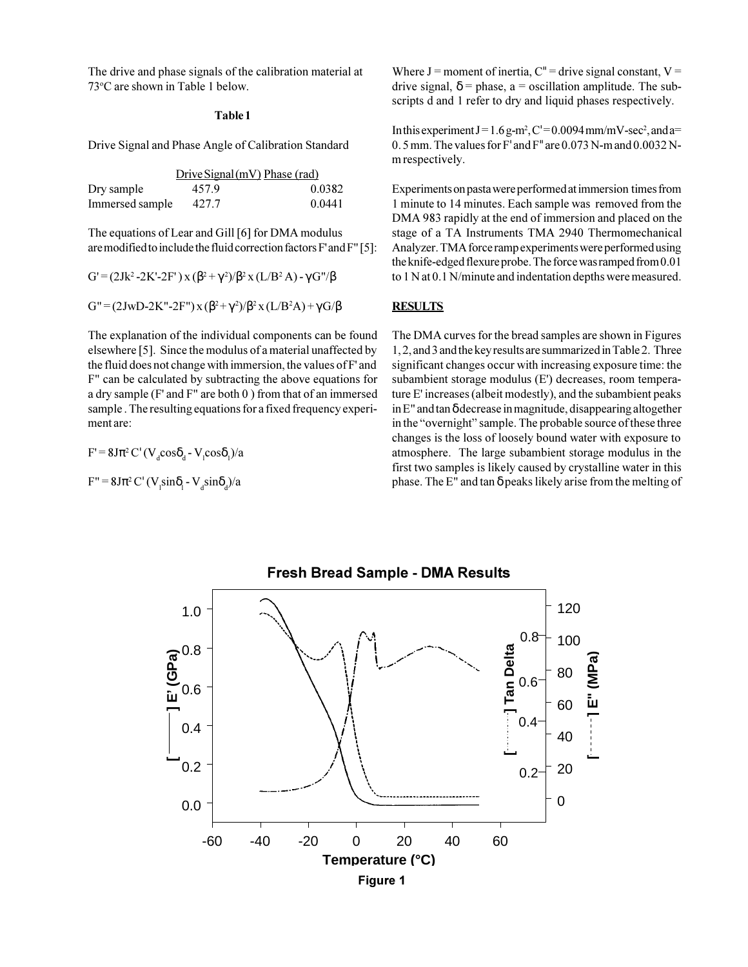The drive and phase signals of the calibration material at 73°C are shown in Table 1 below.

#### **Table 1**

Drive Signal and Phase Angle of Calibration Standard

|                 | Drive Signal (mV) Phase (rad) |        |
|-----------------|-------------------------------|--------|
| Dry sample      | 457.9                         | 0.0382 |
| Immersed sample | 427.7                         | 0.0441 |

The equations of Lear and Gill [6] for DMA modulus are modified to include the fluid correction factors F' and F" [5]:

$$
G' = (2Jk^{2} - 2K' - 2F') \times (\beta^{2} + \gamma^{2})/\beta^{2} \times (L/B^{2} A) - \gamma G''/\beta
$$

$$
G'' = (2JwD-2K''-2F'')x(\beta^2+\gamma^2)/\beta^2x(L/B^2A)+\gamma G/\beta
$$

The explanation of the individual components can be found elsewhere [5]. Since the modulus of a material unaffected by the fluid does not change with immersion, the values of F' and F" can be calculated by subtracting the above equations for a dry sample (F' and F" are both 0 ) from that of an immersed sample . The resulting equations for a fixed frequency experiment are:

 $F' = 8J\pi^2 C' (V_d \cos\delta_d - V_l \cos\delta_l)/a$ 

 $F'' = 8J\pi^2 C' (V_1 \sin\delta_1 - V_d \sin\delta_d)/a$ 

Where  $J =$  moment of inertia,  $C'' =$  drive signal constant,  $V =$ drive signal,  $\delta$  = phase, a = oscillation amplitude. The subscripts d and 1 refer to dry and liquid phases respectively.

In this experiment  $J = 1.6$  g-m<sup>2</sup>, C' = 0.0094 mm/mV-sec<sup>2</sup>, and a= 0. 5 mm. The values for F' and F" are 0.073 N-m and 0.0032 Nm respectively.

Experiments on pasta were performed at immersion times from 1 minute to 14 minutes. Each sample was removed from the DMA 983 rapidly at the end of immersion and placed on the stage of a TA Instruments TMA 2940 Thermomechanical Analyzer. TMA force ramp experiments were performed using the knife-edged flexure probe. The force was ramped from 0.01 to 1 N at 0.1 N/minute and indentation depths were measured.

### **RESULTS**

The DMA curves for the bread samples are shown in Figures 1, 2, and 3 and the key results are summarized in Table 2. Three significant changes occur with increasing exposure time: the subambient storage modulus (E') decreases, room temperature E' increases (albeit modestly), and the subambient peaks in E" and tan δ decrease in magnitude, disappearing altogether in the "overnight" sample. The probable source of these three changes is the loss of loosely bound water with exposure to atmosphere. The large subambient storage modulus in the first two samples is likely caused by crystalline water in this phase. The E" and tan δ peaks likely arise from the melting of

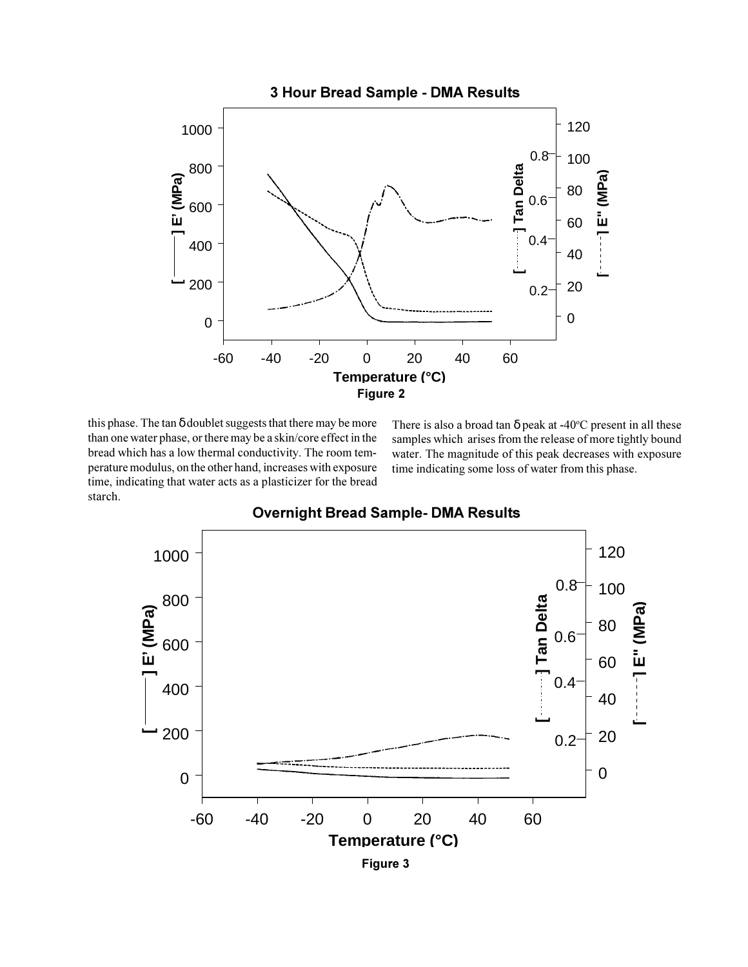

this phase. The tan δ doublet suggests that there may be more than one water phase, or there may be a skin/core effect in the bread which has a low thermal conductivity. The room temperature modulus, on the other hand, increases with exposure time, indicating that water acts as a plasticizer for the bread starch.

There is also a broad tan  $\delta$  peak at -40°C present in all these samples which arises from the release of more tightly bound water. The magnitude of this peak decreases with exposure time indicating some loss of water from this phase.



# **Overnight Bread Sample- DMA Results**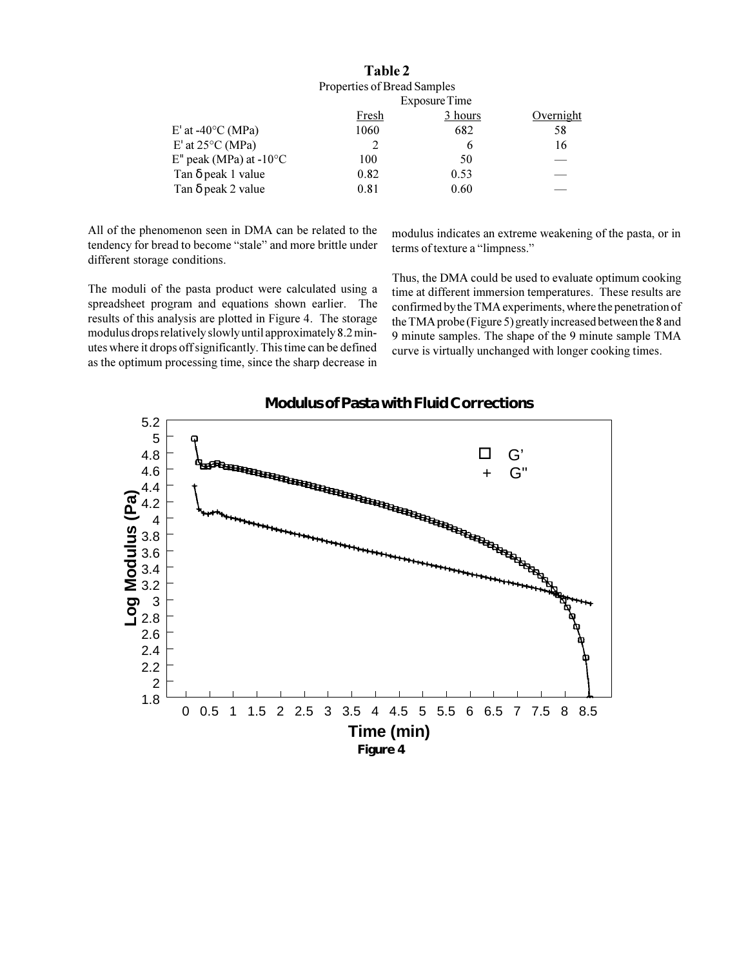| Table 2                                      |      |    |
|----------------------------------------------|------|----|
| Properties of Bread Samples<br>Exposure Time |      |    |
|                                              |      |    |
| 1060                                         | 682  | 58 |
|                                              | 6    | 16 |
| 100                                          | 50   |    |
| 0.82                                         | 0.53 |    |
| 0.81                                         | 0.60 |    |
|                                              |      |    |

All of the phenomenon seen in DMA can be related to the tendency for bread to become "stale" and more brittle under different storage conditions.

modulus indicates an extreme weakening of the pasta, or in terms of texture a "limpness."

The moduli of the pasta product were calculated using a spreadsheet program and equations shown earlier. The results of this analysis are plotted in Figure 4. The storage modulus drops relatively slowly until approximately 8.2 minutes where it drops off significantly. This time can be defined as the optimum processing time, since the sharp decrease in Thus, the DMA could be used to evaluate optimum cooking time at different immersion temperatures. These results are confirmed by the TMA experiments, where the penetration of the TMA probe (Figure 5) greatly increased between the 8 and 9 minute samples. The shape of the 9 minute sample TMA curve is virtually unchanged with longer cooking times.



# **Modulus of Pasta with Fluid Corrections**